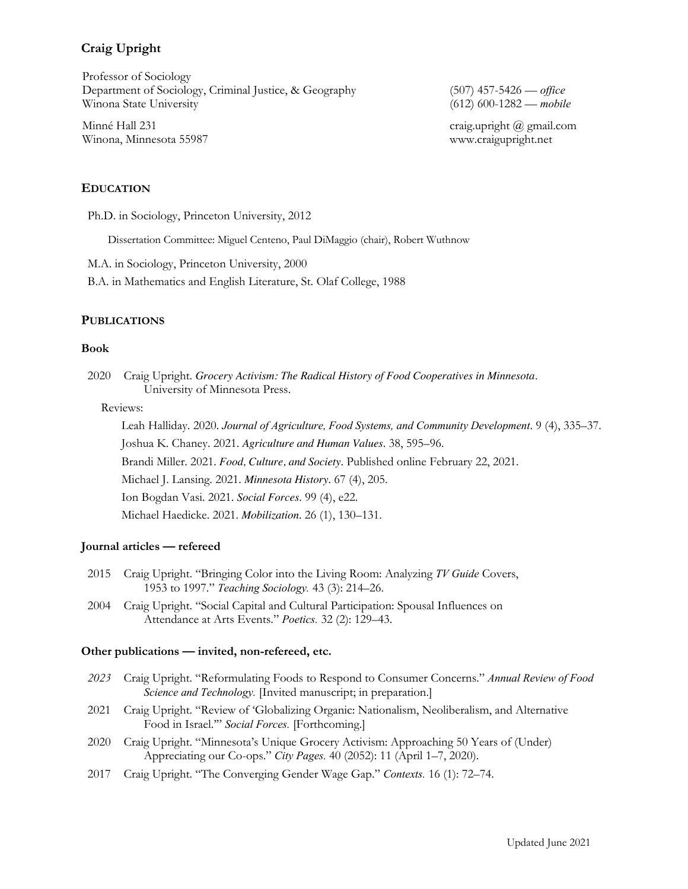# **Craig Upright**

Professor of Sociology Department of Sociology, Criminal Justice, & Geography (507) 457-5426 — *office* Winona State University (612) 600-1282 — *mobile*

Minné Hall 231 craig.upright @ gmail.com Winona, Minnesota 55987 www.craigupright.net

## **EDUCATION**

Ph.D. in Sociology, Princeton University, 2012

Dissertation Committee: Miguel Centeno, Paul DiMaggio (chair), Robert Wuthnow

M.A. in Sociology, Princeton University, 2000

B.A. in Mathematics and English Literature, St. Olaf College, 1988

### **PUBLICATIONS**

### **Book**

2020 Craig Upright. *Grocery Activism: The Radical History of Food Cooperatives in Minnesota.* University of Minnesota Press.

Reviews:

Leah Halliday. 2020. *Journal of Agriculture, Food Systems, and Community Development*. 9 (4), 335–37. Joshua K. Chaney. 2021. *Agriculture and Human Values*. 38, 595–96. Brandi Miller. 2021. *Food, Culture, and Society*. Published online February 22, 2021. Michael J. Lansing. 2021. *Minnesota History*. 67 (4), 205. Ion Bogdan Vasi. 2021. *Social Forces*. 99 (4), e22. Michael Haedicke. 2021. *Mobilization*. 26 (1), 130–131.

### **Journal articles — refereed**

- 2015 Craig Upright. "Bringing Color into the Living Room: Analyzing *TV Guide* Covers, 1953 to 1997." *Teaching Sociology.* 43 (3): 214–26.
- 2004 Craig Upright. "Social Capital and Cultural Participation: Spousal Influences on Attendance at Arts Events." *Poetics.* 32 (2): 129–43.

### **Other publications — invited, non-refereed, etc.**

- *2023* Craig Upright. "Reformulating Foods to Respond to Consumer Concerns." *Annual Review of Food Science and Technology.* [Invited manuscript; in preparation.]
- 2021 Craig Upright. "Review of 'Globalizing Organic: Nationalism, Neoliberalism, and Alternative Food in Israel.'" *Social Forces.* [Forthcoming.]
- 2020 Craig Upright. "Minnesota's Unique Grocery Activism: Approaching 50 Years of (Under) Appreciating our Co-ops." *City Pages.* 40 (2052): 11 (April 1–7, 2020).
- 2017 Craig Upright. "The Converging Gender Wage Gap." *Contexts.* 16 (1): 72–74.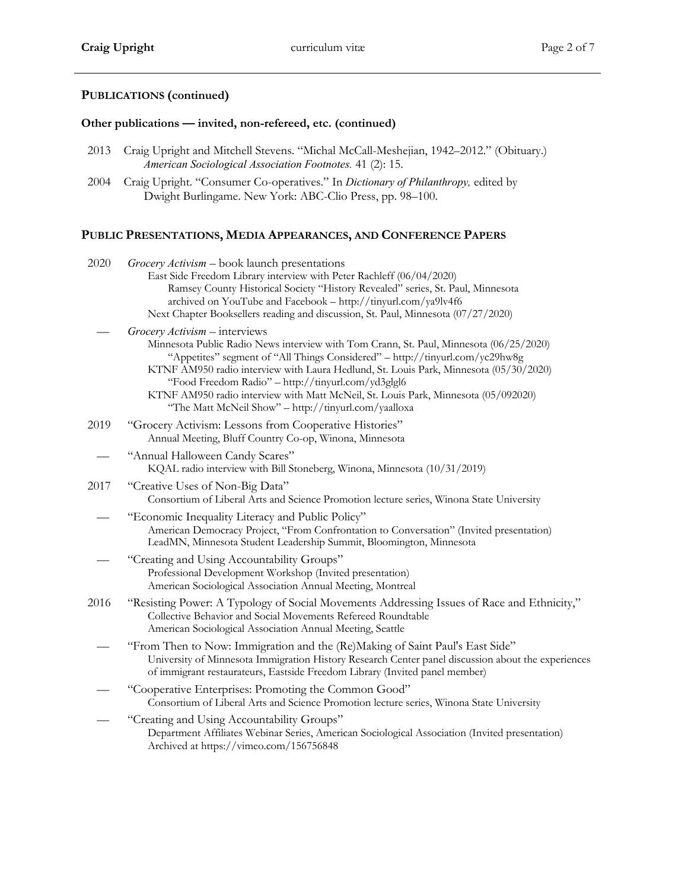# **PUBLICATIONS (continued)**

## **Other publications — invited, non-refereed, etc. (continued)**

- 2013 Craig Upright and Mitchell Stevens. "Michal McCall-Meshejian, 1942–2012." (Obituary.) *American Sociological Association Footnotes.* 41 (2): 15.
- 2004 Craig Upright. "Consumer Co-operatives." In *Dictionary of Philanthropy,* edited by Dwight Burlingame. New York: ABC-Clio Press, pp. 98–100.

# **PUBLIC PRESENTATIONS, MEDIA APPEARANCES, AND CONFERENCE PAPERS**

| 2020 | Grocery Activism - book launch presentations<br>East Side Freedom Library interview with Peter Rachleff (06/04/2020)<br>Ramsey County Historical Society "History Revealed" series, St. Paul, Minnesota<br>archived on YouTube and Facebook - http://tinyurl.com/ya9lv4f6<br>Next Chapter Booksellers reading and discussion, St. Paul, Minnesota (07/27/2020)                                                                                                                                       |
|------|------------------------------------------------------------------------------------------------------------------------------------------------------------------------------------------------------------------------------------------------------------------------------------------------------------------------------------------------------------------------------------------------------------------------------------------------------------------------------------------------------|
|      | Grocery Activism - interviews<br>Minnesota Public Radio News interview with Tom Crann, St. Paul, Minnesota (06/25/2020)<br>"Appetites" segment of "All Things Considered" - http://tinyurl.com/yc29hw8g<br>KTNF AM950 radio interview with Laura Hedlund, St. Louis Park, Minnesota (05/30/2020)<br>"Food Freedom Radio" - http://tinyurl.com/yd3glgl6<br>KTNF AM950 radio interview with Matt McNeil, St. Louis Park, Minnesota (05/092020)<br>"The Matt McNeil Show" - http://tinyurl.com/yaalloxa |
| 2019 | "Grocery Activism: Lessons from Cooperative Histories"<br>Annual Meeting, Bluff Country Co-op, Winona, Minnesota                                                                                                                                                                                                                                                                                                                                                                                     |
|      | "Annual Halloween Candy Scares"<br>KQAL radio interview with Bill Stoneberg, Winona, Minnesota (10/31/2019)                                                                                                                                                                                                                                                                                                                                                                                          |
| 2017 | "Creative Uses of Non-Big Data"<br>Consortium of Liberal Arts and Science Promotion lecture series, Winona State University                                                                                                                                                                                                                                                                                                                                                                          |
|      | "Economic Inequality Literacy and Public Policy"<br>American Democracy Project, "From Confrontation to Conversation" (Invited presentation)<br>LeadMN, Minnesota Student Leadership Summit, Bloomington, Minnesota                                                                                                                                                                                                                                                                                   |
|      | "Creating and Using Accountability Groups"<br>Professional Development Workshop (Invited presentation)<br>American Sociological Association Annual Meeting, Montreal                                                                                                                                                                                                                                                                                                                                 |
| 2016 | "Resisting Power: A Typology of Social Movements Addressing Issues of Race and Ethnicity,"<br>Collective Behavior and Social Movements Refereed Roundtable<br>American Sociological Association Annual Meeting, Seattle                                                                                                                                                                                                                                                                              |
|      | "From Then to Now: Immigration and the (Re)Making of Saint Paul's East Side"<br>University of Minnesota Immigration History Research Center panel discussion about the experiences<br>of immigrant restaurateurs, Eastside Freedom Library (Invited panel member)                                                                                                                                                                                                                                    |
|      | "Cooperative Enterprises: Promoting the Common Good"<br>Consortium of Liberal Arts and Science Promotion lecture series, Winona State University                                                                                                                                                                                                                                                                                                                                                     |
|      | "Creating and Using Accountability Groups"<br>Department Affiliates Webinar Series, American Sociological Association (Invited presentation)<br>Archived at https://vimeo.com/156756848                                                                                                                                                                                                                                                                                                              |
|      |                                                                                                                                                                                                                                                                                                                                                                                                                                                                                                      |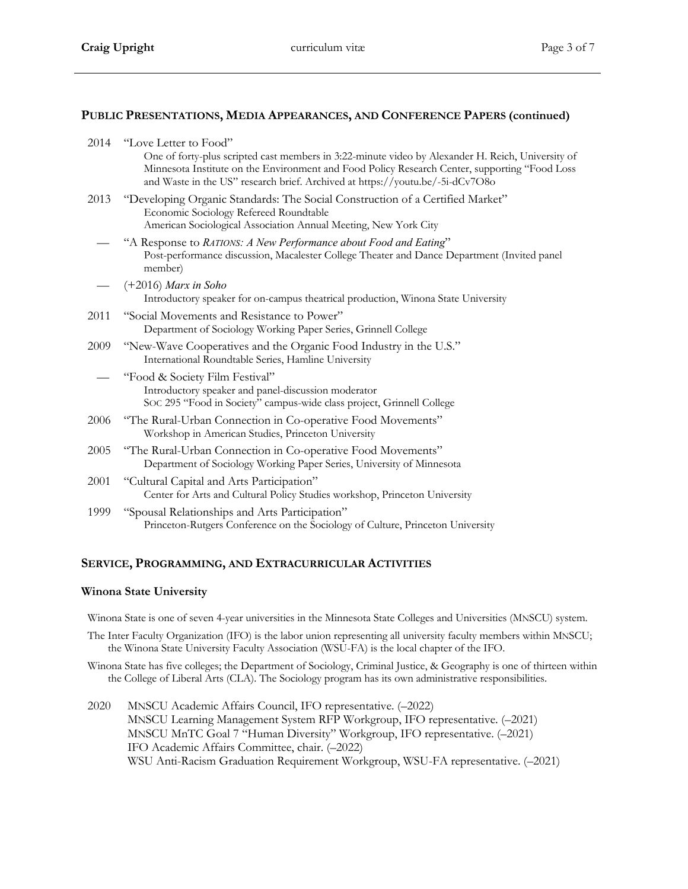## **PUBLIC PRESENTATIONS, MEDIA APPEARANCES, AND CONFERENCE PAPERS (continued)**

| 2014 | "Love Letter to Food"<br>One of forty-plus scripted cast members in 3:22-minute video by Alexander H. Reich, University of<br>Minnesota Institute on the Environment and Food Policy Research Center, supporting "Food Loss<br>and Waste in the US" research brief. Archived at https://youtu.be/-5i-dCv7O8o |
|------|--------------------------------------------------------------------------------------------------------------------------------------------------------------------------------------------------------------------------------------------------------------------------------------------------------------|
| 2013 | "Developing Organic Standards: The Social Construction of a Certified Market"<br>Economic Sociology Refereed Roundtable<br>American Sociological Association Annual Meeting, New York City                                                                                                                   |
|      | "A Response to RATIONS: A New Performance about Food and Eating"<br>Post-performance discussion, Macalester College Theater and Dance Department (Invited panel<br>member)                                                                                                                                   |
|      | $(+2016)$ Marx in Soho<br>Introductory speaker for on-campus theatrical production, Winona State University                                                                                                                                                                                                  |
| 2011 | "Social Movements and Resistance to Power"<br>Department of Sociology Working Paper Series, Grinnell College                                                                                                                                                                                                 |
| 2009 | "New-Wave Cooperatives and the Organic Food Industry in the U.S."<br>International Roundtable Series, Hamline University                                                                                                                                                                                     |
|      | "Food & Society Film Festival"<br>Introductory speaker and panel-discussion moderator<br>SOC 295 "Food in Society" campus-wide class project, Grinnell College                                                                                                                                               |
| 2006 | "The Rural-Urban Connection in Co-operative Food Movements"<br>Workshop in American Studies, Princeton University                                                                                                                                                                                            |
| 2005 | "The Rural-Urban Connection in Co-operative Food Movements"<br>Department of Sociology Working Paper Series, University of Minnesota                                                                                                                                                                         |
| 2001 | "Cultural Capital and Arts Participation"<br>Center for Arts and Cultural Policy Studies workshop, Princeton University                                                                                                                                                                                      |
| 1999 | "Spousal Relationships and Arts Participation"<br>Princeton-Rutgers Conference on the Sociology of Culture, Princeton University                                                                                                                                                                             |
|      |                                                                                                                                                                                                                                                                                                              |

## **SERVICE, PROGRAMMING, AND EXTRACURRICULAR ACTIVITIES**

## **Winona State University**

Winona State is one of seven 4-year universities in the Minnesota State Colleges and Universities (MNSCU) system.

- The Inter Faculty Organization (IFO) is the labor union representing all university faculty members within MNSCU; the Winona State University Faculty Association (WSU-FA) is the local chapter of the IFO.
- Winona State has five colleges; the Department of Sociology, Criminal Justice, & Geography is one of thirteen within the College of Liberal Arts (CLA). The Sociology program has its own administrative responsibilities.
- 2020 MNSCU Academic Affairs Council, IFO representative. (–2022) MNSCU Learning Management System RFP Workgroup, IFO representative. (–2021) MNSCU MnTC Goal 7 "Human Diversity" Workgroup, IFO representative. (–2021) IFO Academic Affairs Committee, chair. (–2022) WSU Anti-Racism Graduation Requirement Workgroup, WSU-FA representative. (–2021)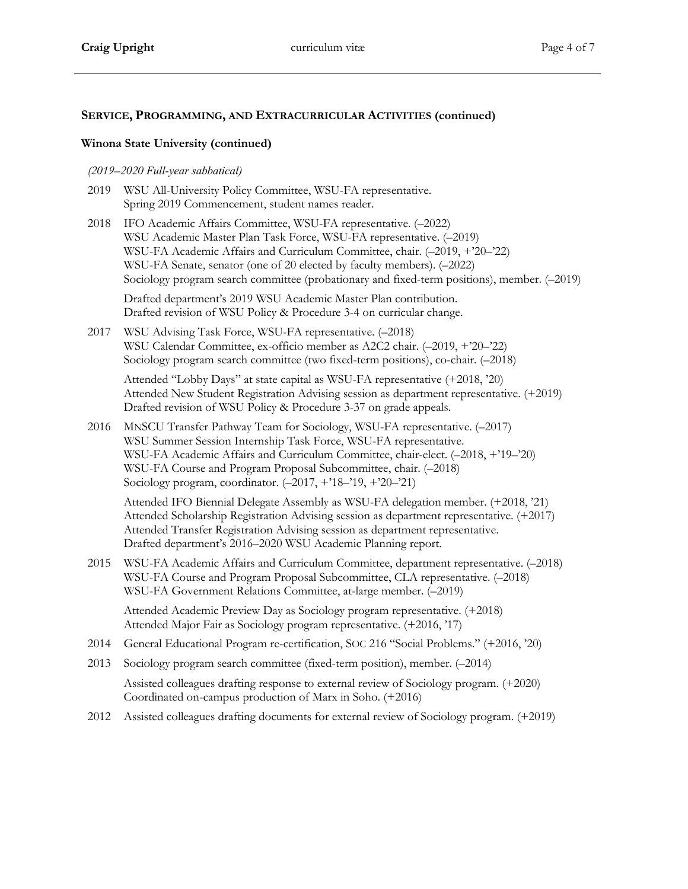## **SERVICE, PROGRAMMING, AND EXTRACURRICULAR ACTIVITIES (continued)**

## **Winona State University (continued)**

## *(2019–2020 Full-year sabbatical)*

- 2019 WSU All-University Policy Committee, WSU-FA representative. Spring 2019 Commencement, student names reader.
- 2018 IFO Academic Affairs Committee, WSU-FA representative. (–2022) WSU Academic Master Plan Task Force, WSU-FA representative. (–2019) WSU-FA Academic Affairs and Curriculum Committee, chair. (–2019, +'20–'22) WSU-FA Senate, senator (one of 20 elected by faculty members). (–2022) Sociology program search committee (probationary and fixed-term positions), member. (–2019)

Drafted department's 2019 WSU Academic Master Plan contribution. Drafted revision of WSU Policy & Procedure 3-4 on curricular change.

2017 WSU Advising Task Force, WSU-FA representative. (–2018) WSU Calendar Committee, ex-officio member as A2C2 chair. (–2019, +'20–'22) Sociology program search committee (two fixed-term positions), co-chair. (–2018)

Attended "Lobby Days" at state capital as WSU-FA representative (+2018, '20) Attended New Student Registration Advising session as department representative. (+2019) Drafted revision of WSU Policy & Procedure 3-37 on grade appeals.

2016 MNSCU Transfer Pathway Team for Sociology, WSU-FA representative. (–2017) WSU Summer Session Internship Task Force, WSU-FA representative. WSU-FA Academic Affairs and Curriculum Committee, chair-elect. (–2018, +'19–'20) WSU-FA Course and Program Proposal Subcommittee, chair. (–2018) Sociology program, coordinator. (–2017, +'18–'19, +'20–'21)

Attended IFO Biennial Delegate Assembly as WSU-FA delegation member. (+2018, '21) Attended Scholarship Registration Advising session as department representative. (+2017) Attended Transfer Registration Advising session as department representative. Drafted department's 2016–2020 WSU Academic Planning report.

2015 WSU-FA Academic Affairs and Curriculum Committee, department representative. (–2018) WSU-FA Course and Program Proposal Subcommittee, CLA representative. (–2018) WSU-FA Government Relations Committee, at-large member. (–2019)

Attended Academic Preview Day as Sociology program representative. (+2018) Attended Major Fair as Sociology program representative. (+2016, '17)

- 2014 General Educational Program re-certification, SOC 216 "Social Problems." (+2016, '20)
- 2013 Sociology program search committee (fixed-term position), member. (–2014) Assisted colleagues drafting response to external review of Sociology program. (+2020) Coordinated on-campus production of Marx in Soho. (+2016)
- 2012 Assisted colleagues drafting documents for external review of Sociology program. (+2019)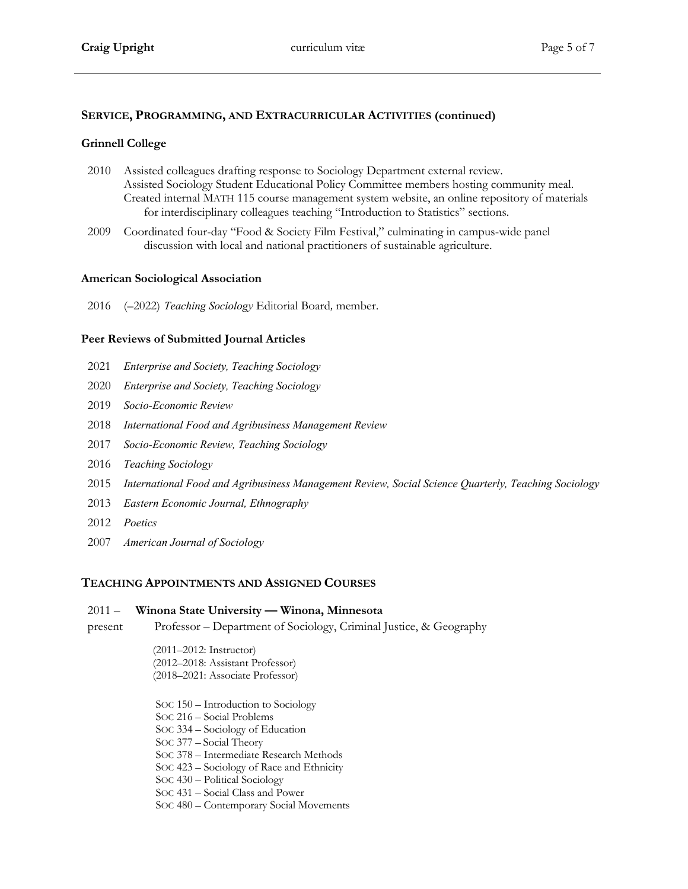## **SERVICE, PROGRAMMING, AND EXTRACURRICULAR ACTIVITIES (continued)**

## **Grinnell College**

- 2010 Assisted colleagues drafting response to Sociology Department external review. Assisted Sociology Student Educational Policy Committee members hosting community meal. Created internal MATH 115 course management system website, an online repository of materials for interdisciplinary colleagues teaching "Introduction to Statistics" sections.
- 2009 Coordinated four-day "Food & Society Film Festival," culminating in campus-wide panel discussion with local and national practitioners of sustainable agriculture.

### **American Sociological Association**

2016 (–2022) *Teaching Sociology* Editorial Board*,* member.

## **Peer Reviews of Submitted Journal Articles**

- 2021 *Enterprise and Society, Teaching Sociology*
- 2020 *Enterprise and Society, Teaching Sociology*
- 2019 *Socio-Economic Review*
- 2018 *International Food and Agribusiness Management Review*
- 2017 *Socio-Economic Review, Teaching Sociology*
- 2016 *Teaching Sociology*
- 2015 *International Food and Agribusiness Management Review, Social Science Quarterly, Teaching Sociology*
- 2013 *Eastern Economic Journal, Ethnography*
- 2012 *Poetics*
- 2007 *American Journal of Sociology*

## **TEACHING APPOINTMENTS AND ASSIGNED COURSES**

#### $2011 -$ **Winona State University — Winona, Minnesota**

present Professor – Department of Sociology, Criminal Justice, & Geography

> (2011–2012: Instructor) (2012–2018: Assistant Professor) (2018–2021: Associate Professor)

- SOC 150 Introduction to Sociology
- SOC 216 Social Problems
- SOC 334 Sociology of Education
- SOC 377 Social Theory
- SOC 378 Intermediate Research Methods
- SOC 423 Sociology of Race and Ethnicity
- SOC 430 Political Sociology
- SOC 431 Social Class and Power
- SOC 480 Contemporary Social Movements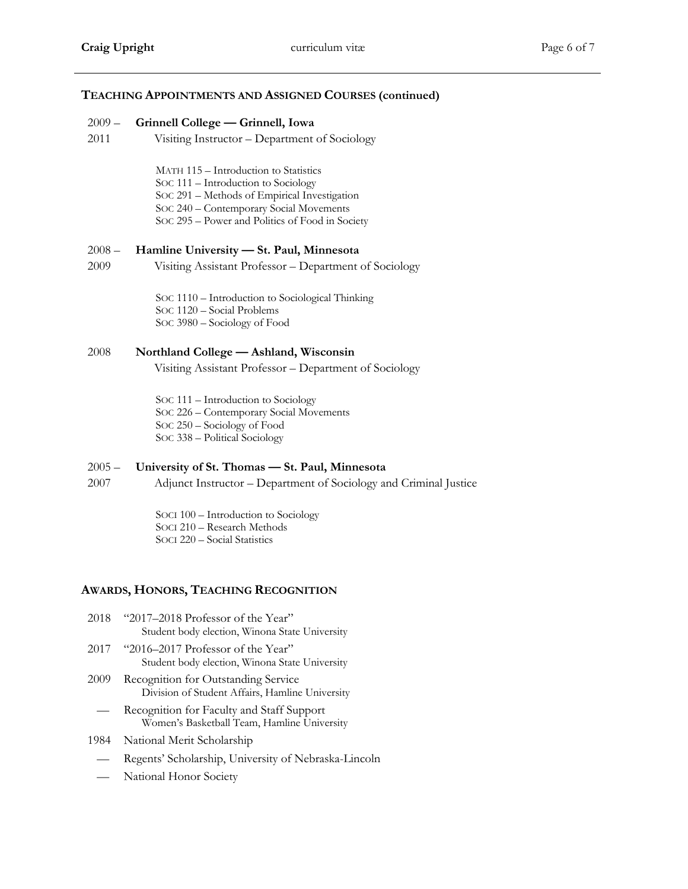## **TEACHING APPOINTMENTS AND ASSIGNED COURSES (continued)**

#### $2009 -$ **Grinnell College — Grinnell, Iowa**

2011 Visiting Instructor – Department of Sociology

MATH 115 – Introduction to Statistics

- SOC 111 Introduction to Sociology
- SOC 291 Methods of Empirical Investigation
- SOC 240 Contemporary Social Movements
- SOC 295 Power and Politics of Food in Society

#### $2008 -$ **Hamline University — St. Paul, Minnesota**

2009 Visiting Assistant Professor – Department of Sociology

> SOC 1110 – Introduction to Sociological Thinking SOC 1120 – Social Problems SOC 3980 – Sociology of Food

## 2008 **Northland College — Ashland, Wisconsin**

Visiting Assistant Professor – Department of Sociology

SOC 111 – Introduction to Sociology SOC 226 – Contemporary Social Movements SOC 250 – Sociology of Food SOC 338 – Political Sociology

#### $2005 -$ **University of St. Thomas — St. Paul, Minnesota**

2007 Adjunct Instructor – Department of Sociology and Criminal Justice

> SOCI 100 – Introduction to Sociology SOCI 210 – Research Methods SOCI 220 – Social Statistics

# **AWARDS, HONORS, TEACHING RECOGNITION**

- 2018 "2017–2018 Professor of the Year" Student body election, Winona State University
- 2017 "2016–2017 Professor of the Year" Student body election, Winona State University
- 2009 Recognition for Outstanding Service Division of Student Affairs, Hamline University
- Recognition for Faculty and Staff Support Women's Basketball Team, Hamline University
- 1984 National Merit Scholarship
	- Regents' Scholarship, University of Nebraska-Lincoln
	- National Honor Society